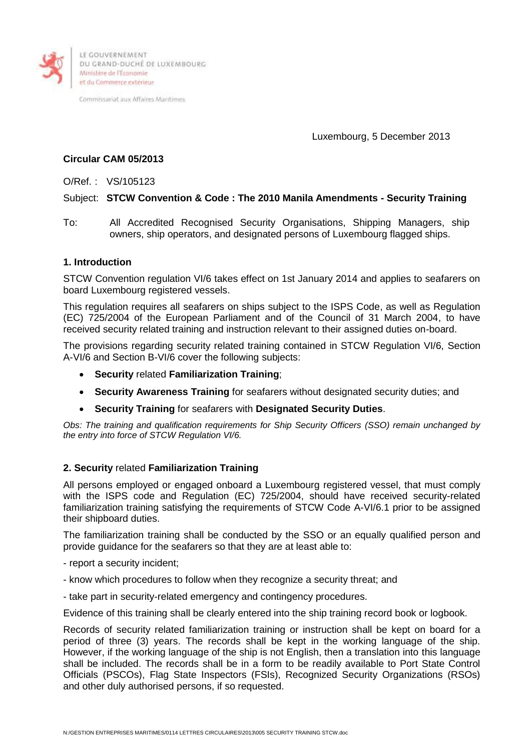

DU GRAND-DUCHÉ DE LUXEMBOURG Ministère de l'Économie et du Commerce extérieur

Commissariat aux Affaires Maritimes

Luxembourg, 5 December 2013

# **Circular CAM 05/2013**

O/Ref. : VS/105123

# Subject: **STCW Convention & Code : The 2010 Manila Amendments - Security Training**

To: All Accredited Recognised Security Organisations, Shipping Managers, ship owners, ship operators, and designated persons of Luxembourg flagged ships.

# **1. Introduction**

STCW Convention regulation VI/6 takes effect on 1st January 2014 and applies to seafarers on board Luxembourg registered vessels.

This regulation requires all seafarers on ships subject to the ISPS Code, as well as Regulation (EC) 725/2004 of the European Parliament and of the Council of 31 March 2004, to have received security related training and instruction relevant to their assigned duties on-board.

The provisions regarding security related training contained in STCW Regulation VI/6, Section A-VI/6 and Section B-VI/6 cover the following subjects:

- **Security** related **Familiarization Training**;
- **Security Awareness Training** for seafarers without designated security duties; and
- **Security Training** for seafarers with **Designated Security Duties**.

*Obs: The training and qualification requirements for Ship Security Officers (SSO) remain unchanged by the entry into force of STCW Regulation VI/6.*

# **2. Security** related **Familiarization Training**

All persons employed or engaged onboard a Luxembourg registered vessel, that must comply with the ISPS code and Regulation (EC) 725/2004, should have received security-related familiarization training satisfying the requirements of STCW Code A-VI/6.1 prior to be assigned their shipboard duties.

The familiarization training shall be conducted by the SSO or an equally qualified person and provide guidance for the seafarers so that they are at least able to:

- report a security incident;
- know which procedures to follow when they recognize a security threat; and
- take part in security-related emergency and contingency procedures.

Evidence of this training shall be clearly entered into the ship training record book or logbook.

Records of security related familiarization training or instruction shall be kept on board for a period of three (3) years. The records shall be kept in the working language of the ship. However, if the working language of the ship is not English, then a translation into this language shall be included. The records shall be in a form to be readily available to Port State Control Officials (PSCOs), Flag State Inspectors (FSIs), Recognized Security Organizations (RSOs) and other duly authorised persons, if so requested.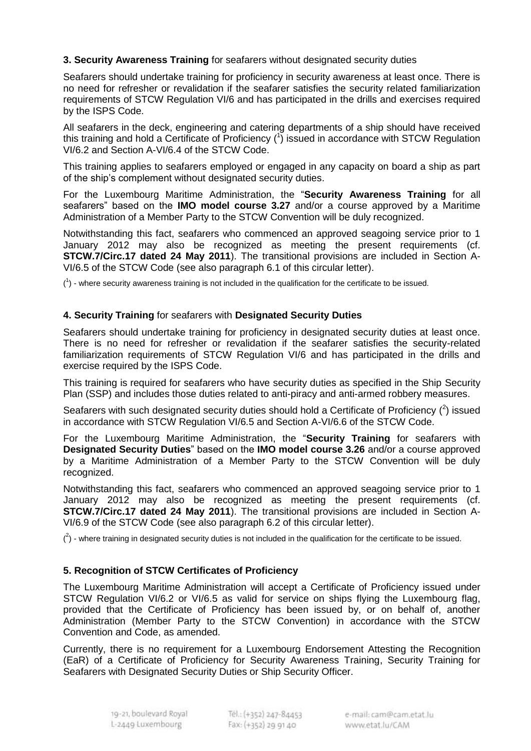# **3. Security Awareness Training** for seafarers without designated security duties

Seafarers should undertake training for proficiency in security awareness at least once. There is no need for refresher or revalidation if the seafarer satisfies the security related familiarization requirements of STCW Regulation VI/6 and has participated in the drills and exercises required by the ISPS Code.

All seafarers in the deck, engineering and catering departments of a ship should have received this training and hold a Certificate of Proficiency  $\binom{1}{1}$  issued in accordance with STCW Regulation VI/6.2 and Section A-VI/6.4 of the STCW Code.

This training applies to seafarers employed or engaged in any capacity on board a ship as part of the ship's complement without designated security duties.

For the Luxembourg Maritime Administration, the "**Security Awareness Training** for all seafarers" based on the **IMO model course 3.27** and/or a course approved by a Maritime Administration of a Member Party to the STCW Convention will be duly recognized.

Notwithstanding this fact, seafarers who commenced an approved seagoing service prior to 1 January 2012 may also be recognized as meeting the present requirements (cf. **STCW.7/Circ.17 dated 24 May 2011**). The transitional provisions are included in Section A-VI/6.5 of the STCW Code (see also paragraph 6.1 of this circular letter).

 $(1)$  - where security awareness training is not included in the qualification for the certificate to be issued.

# **4. Security Training** for seafarers with **Designated Security Duties**

Seafarers should undertake training for proficiency in designated security duties at least once. There is no need for refresher or revalidation if the seafarer satisfies the security-related familiarization requirements of STCW Regulation VI/6 and has participated in the drills and exercise required by the ISPS Code.

This training is required for seafarers who have security duties as specified in the Ship Security Plan (SSP) and includes those duties related to anti-piracy and anti-armed robbery measures.

Seafarers with such designated security duties should hold a Certificate of Proficiency  $(^2)$  issued in accordance with STCW Regulation VI/6.5 and Section A-VI/6.6 of the STCW Code.

For the Luxembourg Maritime Administration, the "**Security Training** for seafarers with **Designated Security Duties**" based on the **IMO model course 3.26** and/or a course approved by a Maritime Administration of a Member Party to the STCW Convention will be duly recognized.

Notwithstanding this fact, seafarers who commenced an approved seagoing service prior to 1 January 2012 may also be recognized as meeting the present requirements (cf. **STCW.7/Circ.17 dated 24 May 2011**). The transitional provisions are included in Section A-VI/6.9 of the STCW Code (see also paragraph 6.2 of this circular letter).

 $(2)$  - where training in designated security duties is not included in the qualification for the certificate to be issued.

# **5. Recognition of STCW Certificates of Proficiency**

The Luxembourg Maritime Administration will accept a Certificate of Proficiency issued under STCW Regulation VI/6.2 or VI/6.5 as valid for service on ships flying the Luxembourg flag, provided that the Certificate of Proficiency has been issued by, or on behalf of, another Administration (Member Party to the STCW Convention) in accordance with the STCW Convention and Code, as amended.

Currently, there is no requirement for a Luxembourg Endorsement Attesting the Recognition (EaR) of a Certificate of Proficiency for Security Awareness Training, Security Training for Seafarers with Designated Security Duties or Ship Security Officer.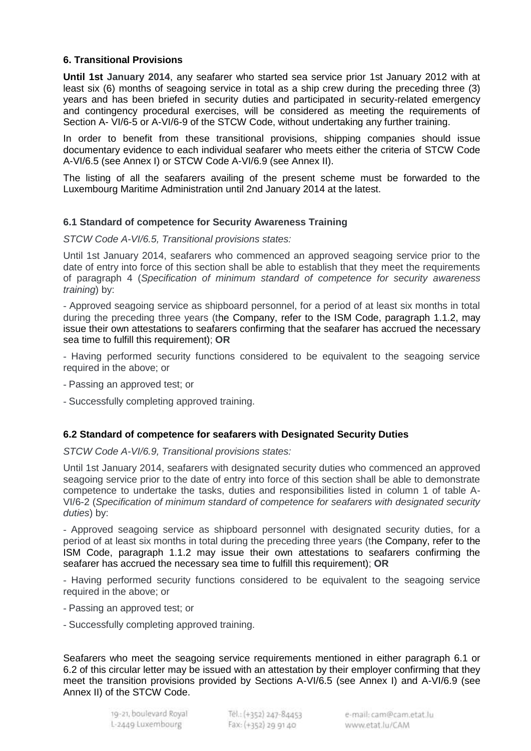# **6. Transitional Provisions**

**Until 1st January 2014**, any seafarer who started sea service prior 1st January 2012 with at least six (6) months of seagoing service in total as a ship crew during the preceding three (3) years and has been briefed in security duties and participated in security-related emergency and contingency procedural exercises, will be considered as meeting the requirements of Section A- VI/6-5 or A-VI/6-9 of the STCW Code, without undertaking any further training.

In order to benefit from these transitional provisions, shipping companies should issue documentary evidence to each individual seafarer who meets either the criteria of STCW Code A-VI/6.5 (see Annex I) or STCW Code A-VI/6.9 (see Annex II).

The listing of all the seafarers availing of the present scheme must be forwarded to the Luxembourg Maritime Administration until 2nd January 2014 at the latest.

# **6.1 Standard of competence for Security Awareness Training**

*STCW Code A-VI/6.5, Transitional provisions states:*

Until 1st January 2014, seafarers who commenced an approved seagoing service prior to the date of entry into force of this section shall be able to establish that they meet the requirements of paragraph 4 (*Specification of minimum standard of competence for security awareness training*) by:

- Approved seagoing service as shipboard personnel, for a period of at least six months in total during the preceding three years (the Company, refer to the ISM Code, paragraph 1.1.2, may issue their own attestations to seafarers confirming that the seafarer has accrued the necessary sea time to fulfill this requirement); **OR**

- Having performed security functions considered to be equivalent to the seagoing service required in the above; or

- Passing an approved test; or

- Successfully completing approved training.

# **6.2 Standard of competence for seafarers with Designated Security Duties**

*STCW Code A-VI/6.9, Transitional provisions states:*

Until 1st January 2014, seafarers with designated security duties who commenced an approved seagoing service prior to the date of entry into force of this section shall be able to demonstrate competence to undertake the tasks, duties and responsibilities listed in column 1 of table A-VI/6-2 (*Specification of minimum standard of competence for seafarers with designated security duties*) by:

- Approved seagoing service as shipboard personnel with designated security duties, for a period of at least six months in total during the preceding three years (the Company, refer to the ISM Code, paragraph 1.1.2 may issue their own attestations to seafarers confirming the seafarer has accrued the necessary sea time to fulfill this requirement); **OR**

- Having performed security functions considered to be equivalent to the seagoing service required in the above; or

- Passing an approved test; or
- Successfully completing approved training.

Seafarers who meet the seagoing service requirements mentioned in either paragraph 6.1 or 6.2 of this circular letter may be issued with an attestation by their employer confirming that they meet the transition provisions provided by Sections A-VI/6.5 (see Annex I) and A-VI/6.9 (see Annex II) of the STCW Code.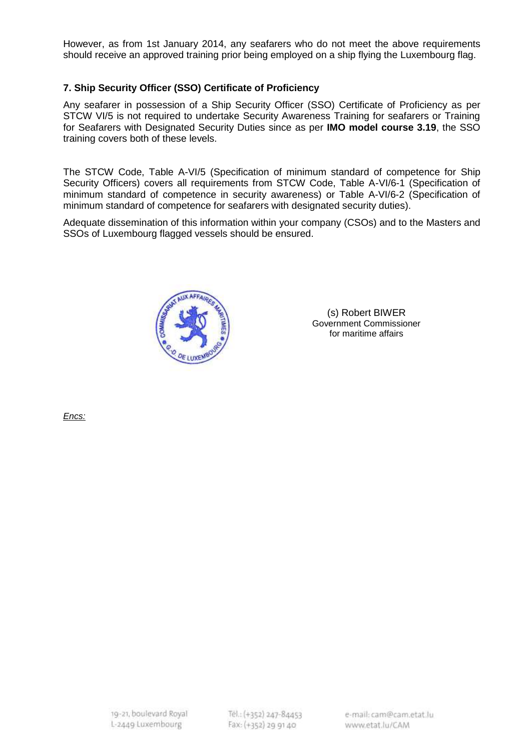However, as from 1st January 2014, any seafarers who do not meet the above requirements should receive an approved training prior being employed on a ship flying the Luxembourg flag.

# **7. Ship Security Officer (SSO) Certificate of Proficiency**

Any seafarer in possession of a Ship Security Officer (SSO) Certificate of Proficiency as per STCW VI/5 is not required to undertake Security Awareness Training for seafarers or Training for Seafarers with Designated Security Duties since as per **IMO model course 3.19**, the SSO training covers both of these levels.

The STCW Code, Table A-VI/5 (Specification of minimum standard of competence for Ship Security Officers) covers all requirements from STCW Code, Table A-VI/6-1 (Specification of minimum standard of competence in security awareness) or Table A-VI/6-2 (Specification of minimum standard of competence for seafarers with designated security duties).

Adequate dissemination of this information within your company (CSOs) and to the Masters and SSOs of Luxembourg flagged vessels should be ensured.



(s) Robert BIWER Government Commissioner for maritime affairs

*Encs:*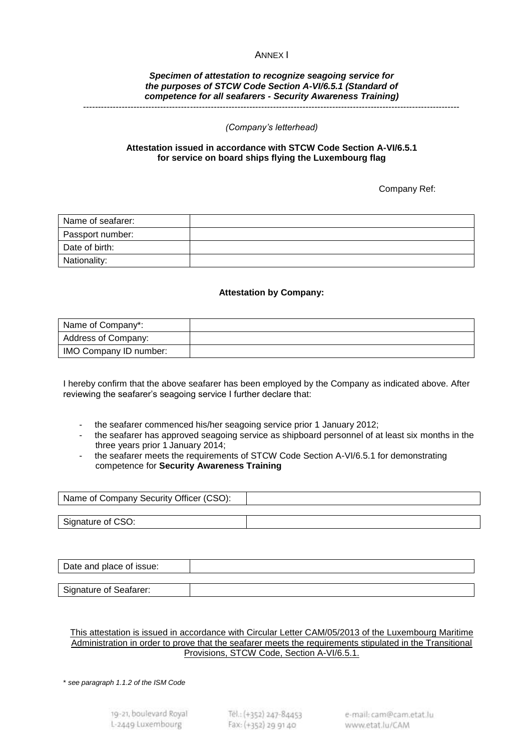## ANNEX I

#### *Specimen of attestation to recognize seagoing service for the purposes of STCW Code Section A-VI/6.5.1 (Standard of competence for all seafarers - Security Awareness Training)* -------------------------------------------------------------------------------------------------------------------------------

#### *(Company's letterhead)*

## **Attestation issued in accordance with STCW Code Section A-VI/6.5.1 for service on board ships flying the Luxembourg flag**

Company Ref:

| Name of seafarer: |  |
|-------------------|--|
| Passport number:  |  |
| Date of birth:    |  |
| Nationality:      |  |

## **Attestation by Company:**

| Name of Company*:      |  |
|------------------------|--|
| Address of Company:    |  |
| IMO Company ID number: |  |

I hereby confirm that the above seafarer has been employed by the Company as indicated above. After reviewing the seafarer's seagoing service I further declare that:

- the seafarer commenced his/her seagoing service prior 1 January 2012;
- the seafarer has approved seagoing service as shipboard personnel of at least six months in the three years prior 1 January 2014;
- the seafarer meets the requirements of STCW Code Section A-VI/6.5.1 for demonstrating competence for **Security Awareness Training**

| Name of Company Security Officer (CSO): |  |
|-----------------------------------------|--|
|                                         |  |
| Signature of CSO:                       |  |

| Date and place of issue: |  |
|--------------------------|--|
|                          |  |
| Signature of Seafarer:   |  |

### This attestation is issued in accordance with Circular Letter CAM/05/2013 of the Luxembourg Maritime Administration in order to prove that the seafarer meets the requirements stipulated in the Transitional Provisions, STCW Code, Section A-VI/6.5.1.

\* *see paragraph 1.1.2 of the ISM Code*